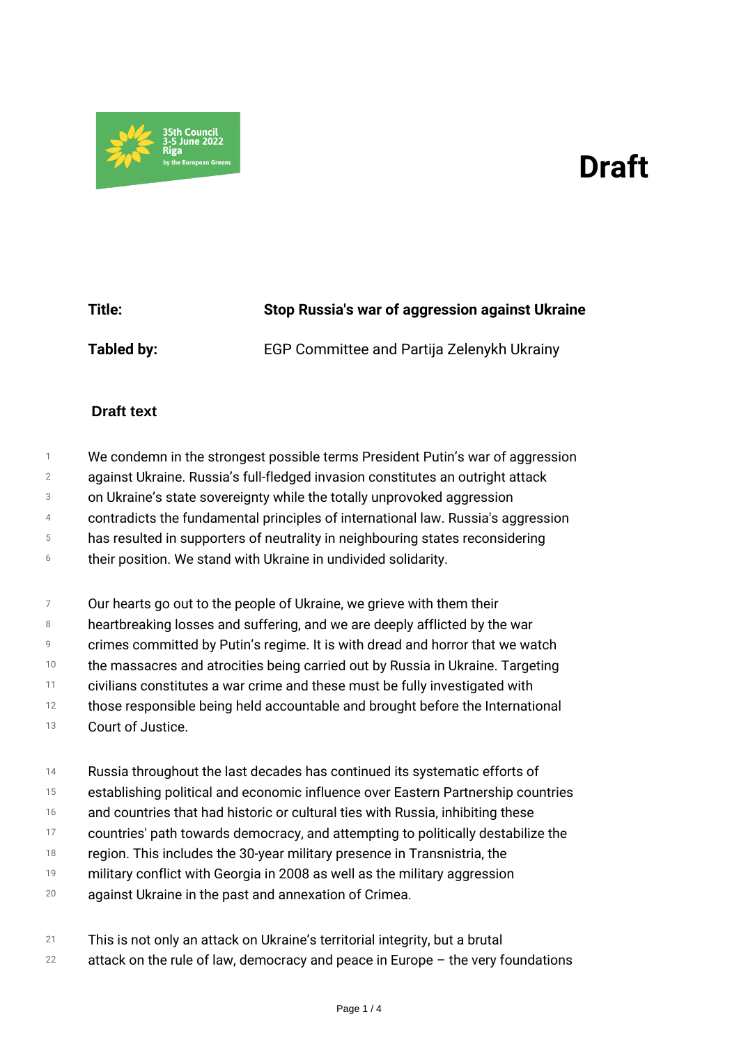## *Draft*



*Title: Stop Russia's war of aggression against Ukraine Tabled by: EGP Committee and Partija Zelenykh Ukrainy*

## **Draft text**

- *1 We condemn in the strongest possible terms President Putin's war of aggression*
- *2 against Ukraine. Russia's full-fledged invasion constitutes an outright attack*
- *3 on Ukraine's state sovereignty while the totally unprovoked aggression*
- *4 contradicts the fundamental principles of international law. Russia's aggression*
- *5 has resulted in supporters of neutrality in neighbouring states reconsidering*
- *6 their position. We stand with Ukraine in undivided solidarity.*
- *7 Our hearts go out to the people of Ukraine, we grieve with them their*
- *8 heartbreaking losses and suffering, and we are deeply afflicted by the war*
- *9 crimes committed by Putin's regime. It is with dread and horror that we watch*
- *10 the massacres and atrocities being carried out by Russia in Ukraine. Targeting*
- *11 civilians constitutes a war crime and these must be fully investigated with*
- *12 those responsible being held accountable and brought before the International*
- *13 Court of Justice.*
- *14 Russia throughout the last decades has continued its systematic efforts of*
- *15 establishing political and economic influence over Eastern Partnership countries*
- *16 and countries that had historic or cultural ties with Russia, inhibiting these*
- *17 countries' path towards democracy, and attempting to politically destabilize the*
- *18 region. This includes the 30-year military presence in Transnistria, the*
- *19 military conflict with Georgia in 2008 as well as the military aggression*
- *20 against Ukraine in the past and annexation of Crimea.*
- *21 This is not only an attack on Ukraine's territorial integrity, but a brutal*
- *22 attack on the rule of law, democracy and peace in Europe – the very foundations*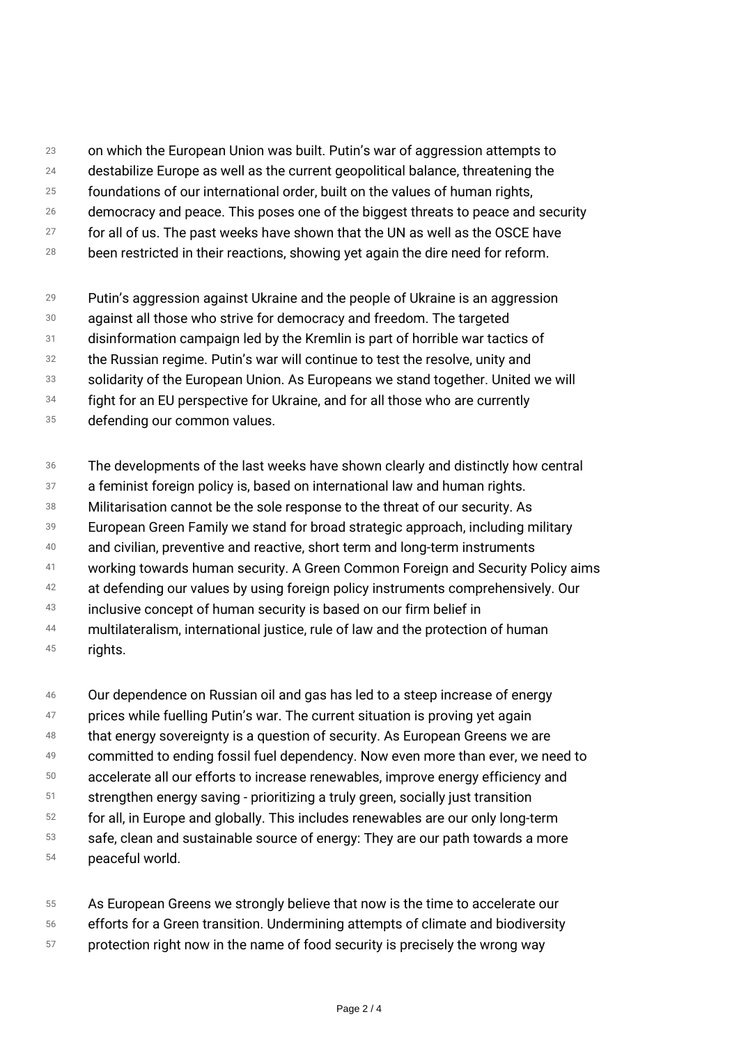- *23 on which the European Union was built. Putin's war of aggression attempts to*
- *24 destabilize Europe as well as the current geopolitical balance, threatening the*
- *25 foundations of our international order, built on the values of human rights,*
- *26 democracy and peace. This poses one of the biggest threats to peace and security*
- *27 for all of us. The past weeks have shown that the UN as well as the OSCE have*
- *28 been restricted in their reactions, showing yet again the dire need for reform.*
- *29 Putin's aggression against Ukraine and the people of Ukraine is an aggression*
- *30 against all those who strive for democracy and freedom. The targeted*
- *31 disinformation campaign led by the Kremlin is part of horrible war tactics of*
- *32 the Russian regime. Putin's war will continue to test the resolve, unity and*
- *33 solidarity of the European Union. As Europeans we stand together. United we will*
- *34 fight for an EU perspective for Ukraine, and for all those who are currently*
- *35 defending our common values.*
- *36 The developments of the last weeks have shown clearly and distinctly how central*
- *37 a feminist foreign policy is, based on international law and human rights.*
- *38 Militarisation cannot be the sole response to the threat of our security. As*
- *39 European Green Family we stand for broad strategic approach, including military*
- *40 and civilian, preventive and reactive, short term and long-term instruments*
- *41 working towards human security. A Green Common Foreign and Security Policy aims*
- *42 at defending our values by using foreign policy instruments comprehensively. Our*
- *43 inclusive concept of human security is based on our firm belief in*
- *44 45 multilateralism, international justice, rule of law and the protection of human rights.*
- *46 Our dependence on Russian oil and gas has led to a steep increase of energy*
- *47 prices while fuelling Putin's war. The current situation is proving yet again*
- *48 that energy sovereignty is a question of security. As European Greens we are*
- *49 committed to ending fossil fuel dependency. Now even more than ever, we need to*
- *50 accelerate all our efforts to increase renewables, improve energy efficiency and*
- *51 strengthen energy saving - prioritizing a truly green, socially just transition*
- *52 for all, in Europe and globally. This includes renewables are our only long-term*
- *53 safe, clean and sustainable source of energy: They are our path towards a more*
- *54 peaceful world.*
- *55 56 As European Greens we strongly believe that now is the time to accelerate our efforts for a Green transition. Undermining attempts of climate and biodiversity*
- *57 protection right now in the name of food security is precisely the wrong way*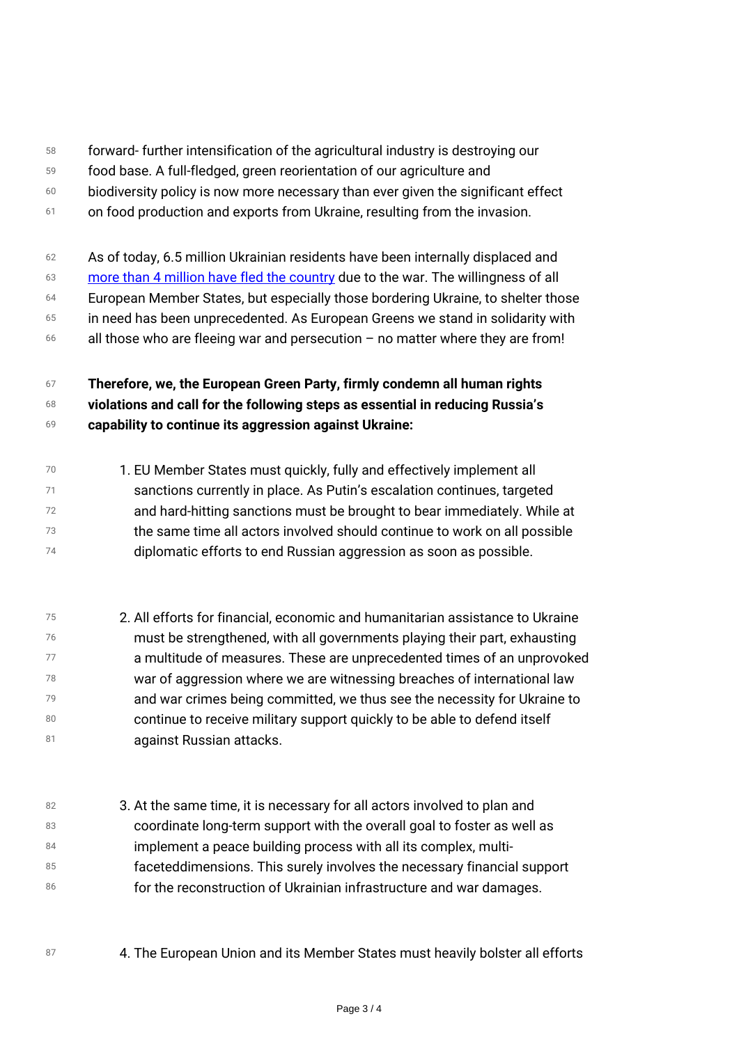- *58 forward- further intensification of the agricultural industry is destroying our*
- *59 food base. A full-fledged, green reorientation of our agriculture and*
- *60 biodiversity policy is now more necessary than ever given the significant effect*
- *61 on food production and exports from Ukraine, resulting from the invasion.*
- *62 63 64 65 66 As of today, 6.5 million Ukrainian residents have been internally displaced and [more than 4 million have fled the country](https://data2.unhcr.org/en/situations/ukraine) due to the war. The willingness of all European Member States, but especially those bordering Ukraine, to shelter those in need has been unprecedented. As European Greens we stand in solidarity with all those who are fleeing war and persecution – no matter where they are from!*

## *67 68 69 Therefore, we, the European Green Party, firmly condemn all human rights violations and call for the following steps as essential in reducing Russia's capability to continue its aggression against Ukraine:*

- *70 71 72 73 74 1. EU Member States must quickly, fully and effectively implement all sanctions currently in place. As Putin's escalation continues, targeted and hard-hitting sanctions must be brought to bear immediately. While at the same time all actors involved should continue to work on all possible diplomatic efforts to end Russian aggression as soon as possible.*
- *75 76 77 78 79 80 81 2. All efforts for financial, economic and humanitarian assistance to Ukraine must be strengthened, with all governments playing their part, exhausting a multitude of measures. These are unprecedented times of an unprovoked war of aggression where we are witnessing breaches of international law and war crimes being committed, we thus see the necessity for Ukraine to continue to receive military support quickly to be able to defend itself against Russian attacks.*
- *82 83 84 85 86 3. At the same time, it is necessary for all actors involved to plan and coordinate long-term support with the overall goal to foster as well as implement a peace building process with all its complex, multifaceteddimensions. This surely involves the necessary financial support for the reconstruction of Ukrainian infrastructure and war damages.*
- *<sup>87</sup> 4. The European Union and its Member States must heavily bolster all efforts*